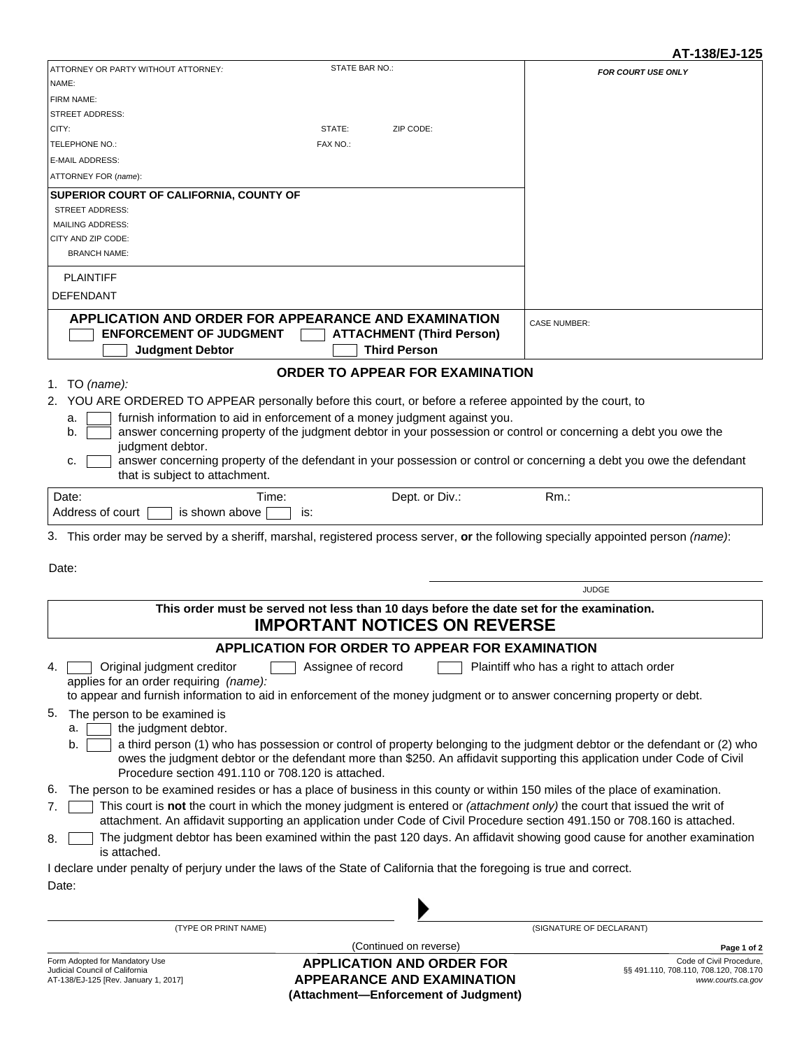|                                                                                                                                    |                                                                                                                                   | AI-138/EJ-125                                                                          |
|------------------------------------------------------------------------------------------------------------------------------------|-----------------------------------------------------------------------------------------------------------------------------------|----------------------------------------------------------------------------------------|
| ATTORNEY OR PARTY WITHOUT ATTORNEY:                                                                                                | STATE BAR NO.:                                                                                                                    | <b>FOR COURT USE ONLY</b>                                                              |
| NAME:                                                                                                                              |                                                                                                                                   |                                                                                        |
| FIRM NAME:                                                                                                                         |                                                                                                                                   |                                                                                        |
| <b>STREET ADDRESS:</b><br>CITY:                                                                                                    | STATE:<br>ZIP CODE:                                                                                                               |                                                                                        |
| TELEPHONE NO.:                                                                                                                     | FAX NO.:                                                                                                                          |                                                                                        |
| <b>E-MAIL ADDRESS:</b>                                                                                                             |                                                                                                                                   |                                                                                        |
| ATTORNEY FOR (name):                                                                                                               |                                                                                                                                   |                                                                                        |
|                                                                                                                                    |                                                                                                                                   |                                                                                        |
| SUPERIOR COURT OF CALIFORNIA, COUNTY OF<br><b>STREET ADDRESS:</b>                                                                  |                                                                                                                                   |                                                                                        |
| <b>MAILING ADDRESS:</b>                                                                                                            |                                                                                                                                   |                                                                                        |
| CITY AND ZIP CODE:                                                                                                                 |                                                                                                                                   |                                                                                        |
| <b>BRANCH NAME:</b>                                                                                                                |                                                                                                                                   |                                                                                        |
|                                                                                                                                    |                                                                                                                                   |                                                                                        |
| <b>PLAINTIFF</b>                                                                                                                   |                                                                                                                                   |                                                                                        |
| <b>DEFENDANT</b>                                                                                                                   |                                                                                                                                   |                                                                                        |
|                                                                                                                                    | <b>APPLICATION AND ORDER FOR APPEARANCE AND EXAMINATION</b>                                                                       | <b>CASE NUMBER:</b>                                                                    |
| <b>ENFORCEMENT OF JUDGMENT</b>                                                                                                     | <b>ATTACHMENT (Third Person)</b>                                                                                                  |                                                                                        |
| <b>Judgment Debtor</b>                                                                                                             | <b>Third Person</b>                                                                                                               |                                                                                        |
|                                                                                                                                    | <b>ORDER TO APPEAR FOR EXAMINATION</b>                                                                                            |                                                                                        |
| 1. TO $(name):$                                                                                                                    |                                                                                                                                   |                                                                                        |
|                                                                                                                                    | 2. YOU ARE ORDERED TO APPEAR personally before this court, or before a referee appointed by the court, to                         |                                                                                        |
| a.                                                                                                                                 | furnish information to aid in enforcement of a money judgment against you.                                                        |                                                                                        |
| b.                                                                                                                                 | answer concerning property of the judgment debtor in your possession or control or concerning a debt you owe the                  |                                                                                        |
| judgment debtor.                                                                                                                   |                                                                                                                                   |                                                                                        |
| c.<br>that is subject to attachment.                                                                                               | answer concerning property of the defendant in your possession or control or concerning a debt you owe the defendant              |                                                                                        |
| Date:                                                                                                                              | Dept. or Div.:<br>Time:                                                                                                           | $Rm$ .:                                                                                |
| Address of court<br>is shown above                                                                                                 | is:                                                                                                                               |                                                                                        |
|                                                                                                                                    |                                                                                                                                   |                                                                                        |
|                                                                                                                                    | 3. This order may be served by a sheriff, marshal, registered process server, or the following specially appointed person (name): |                                                                                        |
| Date:                                                                                                                              |                                                                                                                                   |                                                                                        |
|                                                                                                                                    |                                                                                                                                   | <b>JUDGE</b>                                                                           |
|                                                                                                                                    |                                                                                                                                   |                                                                                        |
|                                                                                                                                    | This order must be served not less than 10 days before the date set for the examination.                                          |                                                                                        |
|                                                                                                                                    | <b>IMPORTANT NOTICES ON REVERSE</b>                                                                                               |                                                                                        |
|                                                                                                                                    | APPLICATION FOR ORDER TO APPEAR FOR EXAMINATION                                                                                   |                                                                                        |
| Original judgment creditor<br>Assignee of record<br>Plaintiff who has a right to attach order<br>4.                                |                                                                                                                                   |                                                                                        |
| applies for an order requiring (name):                                                                                             |                                                                                                                                   |                                                                                        |
|                                                                                                                                    | to appear and furnish information to aid in enforcement of the money judgment or to answer concerning property or debt.           |                                                                                        |
| 5.<br>The person to be examined is                                                                                                 |                                                                                                                                   |                                                                                        |
| the judgment debtor.<br>а.                                                                                                         |                                                                                                                                   |                                                                                        |
| a third person (1) who has possession or control of property belonging to the judgment debtor or the defendant or (2) who<br>b.    |                                                                                                                                   |                                                                                        |
|                                                                                                                                    | owes the judgment debtor or the defendant more than \$250. An affidavit supporting this application under Code of Civil           |                                                                                        |
| Procedure section 491.110 or 708.120 is attached.                                                                                  |                                                                                                                                   |                                                                                        |
| The person to be examined resides or has a place of business in this county or within 150 miles of the place of examination.<br>6. |                                                                                                                                   |                                                                                        |
| 7.                                                                                                                                 | This court is not the court in which the money judgment is entered or (attachment only) the court that issued the writ of         |                                                                                        |
|                                                                                                                                    | attachment. An affidavit supporting an application under Code of Civil Procedure section 491.150 or 708.160 is attached.          |                                                                                        |
| 8.<br>is attached.                                                                                                                 | The judgment debtor has been examined within the past 120 days. An affidavit showing good cause for another examination           |                                                                                        |
|                                                                                                                                    | I declare under penalty of perjury under the laws of the State of California that the foregoing is true and correct.              |                                                                                        |
| Date:                                                                                                                              |                                                                                                                                   |                                                                                        |
|                                                                                                                                    |                                                                                                                                   |                                                                                        |
|                                                                                                                                    |                                                                                                                                   |                                                                                        |
| (TYPE OR PRINT NAME)                                                                                                               |                                                                                                                                   | (SIGNATURE OF DECLARANT)                                                               |
|                                                                                                                                    | (Continued on reverse)                                                                                                            | Page 1 of 2                                                                            |
| Form Adopted for Mandatory Use<br>Judicial Council of California<br>AT-138/EJ-125 [Rev. January 1, 2017]                           | <b>APPLICATION AND ORDER FOR</b><br><b>APPEARANCE AND EXAMINATION</b>                                                             | Code of Civil Procedure,<br>§§ 491.110, 708.110, 708.120, 708.170<br>www.courts.ca.gov |

**(Attachment—Enforcement of Judgment)**